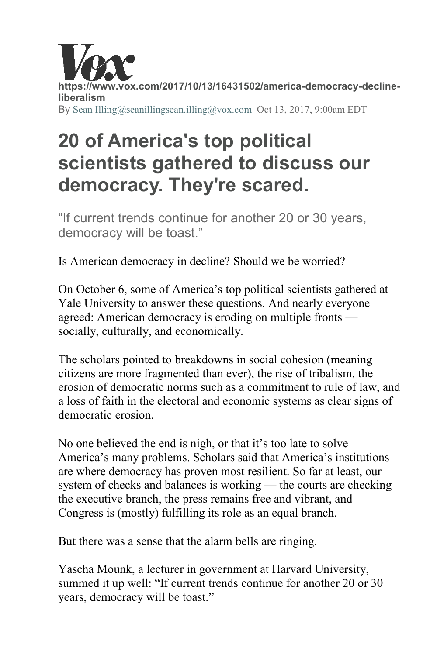ww.vox.com/2017/10/13/16431502/america-democracy-decline**liberalism** By [Sean Illing@seanilling](https://www.vox.com/authors/sean-illing)[sean.illing@vox.com](mailto:sean.illing@vox.com) Oct 13, 2017, 9:00am EDT

# **20 of America's top political scientists gathered to discuss our democracy. They're scared.**

"If current trends continue for another 20 or 30 years, democracy will be toast."

Is American democracy in decline? Should we be worried?

On October 6, some of America's top political scientists gathered at Yale University to answer these questions. And nearly everyone agreed: American democracy is eroding on multiple fronts socially, culturally, and economically.

The scholars pointed to breakdowns in social cohesion (meaning citizens are more fragmented than ever), the rise of tribalism, the erosion of democratic norms such as a commitment to rule of law, and a loss of faith in the electoral and economic systems as clear signs of democratic erosion.

No one believed the end is nigh, or that it's too late to solve America's many problems. Scholars said that America's institutions are where democracy has proven most resilient. So far at least, our system of checks and balances is working — the courts are checking the executive branch, the press remains free and vibrant, and Congress is (mostly) fulfilling its role as an equal branch.

But there was a sense that the alarm bells are ringing.

Yascha Mounk, a lecturer in government at Harvard University, summed it up well: "If current trends continue for another 20 or 30 years, democracy will be toast."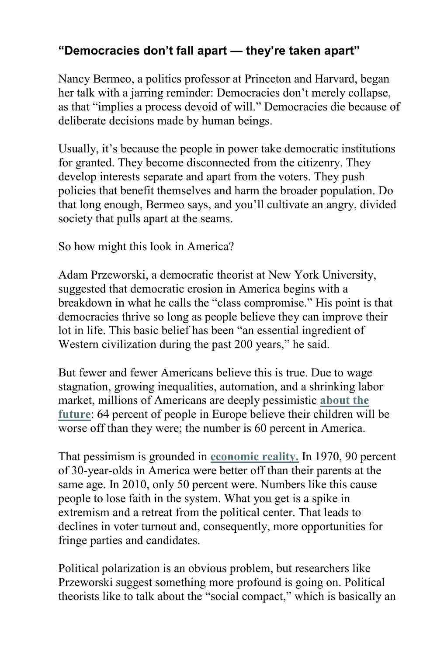## **"Democracies don't fall apart — they're taken apart"**

Nancy Bermeo, a politics professor at Princeton and Harvard, began her talk with a jarring reminder: Democracies don't merely collapse, as that "implies a process devoid of will." Democracies die because of deliberate decisions made by human beings.

Usually, it's because the people in power take democratic institutions for granted. They become disconnected from the citizenry. They develop interests separate and apart from the voters. They push policies that benefit themselves and harm the broader population. Do that long enough, Bermeo says, and you'll cultivate an angry, divided society that pulls apart at the seams.

So how might this look in America?

Adam Przeworski, a democratic theorist at New York University, suggested that democratic erosion in America begins with a breakdown in what he calls the "class compromise." His point is that democracies thrive so long as people believe they can improve their lot in life. This basic belief has been "an essential ingredient of Western civilization during the past 200 years," he said.

But fewer and fewer Americans believe this is true. Due to wage stagnation, growing inequalities, automation, and a shrinking labor market, millions of Americans are deeply pessimistic **[about the](https://yale.app.box.com/s/43a84dgfk7i6jyo0w1ndnb7plag5s360/file/230928318435)  [future](https://yale.app.box.com/s/43a84dgfk7i6jyo0w1ndnb7plag5s360/file/230928318435)**: 64 percent of people in Europe believe their children will be worse off than they were; the number is 60 percent in America.

That pessimism is grounded in **[economic reality.](https://yale.app.box.com/s/43a84dgfk7i6jyo0w1ndnb7plag5s360/file/230928318435)** In 1970, 90 percent of 30-year-olds in America were better off than their parents at the same age. In 2010, only 50 percent were. Numbers like this cause people to lose faith in the system. What you get is a spike in extremism and a retreat from the political center. That leads to declines in voter turnout and, consequently, more opportunities for fringe parties and candidates.

Political polarization is an obvious problem, but researchers like Przeworski suggest something more profound is going on. Political theorists like to talk about the "social compact," which is basically an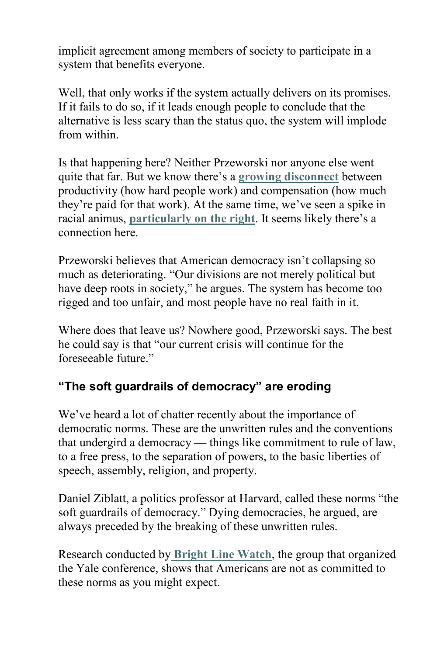implicit agreement among members of society to participate in a system that benefits everyone.

Well, that only works if the system actually delivers on its promises. If it fails to do so, if it leads enough people to conclude that the alternative is less scary than the status quo, the system will implode from within.

Is that happening here? Neither Przeworski nor anyone else went quite that far. But we know there's a **[growing disconnect](https://yale.app.box.com/s/43a84dgfk7i6jyo0w1ndnb7plag5s360/file/230928318435)** between productivity (how hard people work) and compensation (how much they're paid for that work). At the same time, we've seen a spike in racial animus, **[particularly on the right](https://www.voterstudygroup.org/publications/2016-elections/political-divisions-in-2016-and-beyond)**. It seems likely there's a connection here.

Przeworski believes that American democracy isn't collapsing so much as deteriorating. "Our divisions are not merely political but have deep roots in society," he argues. The system has become too rigged and too unfair, and most people have no real faith in it.

Where does that leave us? Nowhere good, Przeworski says. The best he could say is that "our current crisis will continue for the foreseeable future."

## **"The soft guardrails of democracy" are eroding**

We've heard a lot of chatter recently about the importance of democratic norms. These are the unwritten rules and the conventions that undergird a democracy — things like commitment to rule of law, to a free press, to the separation of powers, to the basic liberties of speech, assembly, religion, and property.

Daniel Ziblatt, a politics professor at Harvard, called these norms "the soft guardrails of democracy." Dying democracies, he argued, are always preceded by the breaking of these unwritten rules.

Research conducted by **[Bright Line Watch](http://brightlinewatch.org/)**, the group that organized the Yale conference, shows that Americans are not as committed to these norms as you might expect.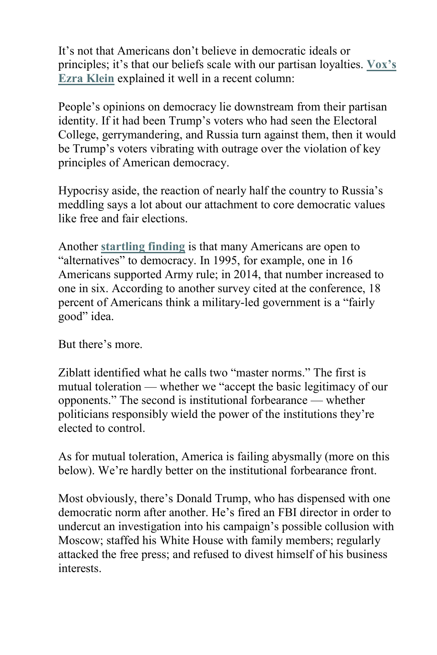It's not that Americans don't believe in democratic ideals or principles; it's that our beliefs scale with our partisan loyalties. **[Vox's](https://www.vox.com/policy-and-politics/2017/10/5/16414338/trump-democracy-authoritarianism)  [Ezra Klein](https://www.vox.com/policy-and-politics/2017/10/5/16414338/trump-democracy-authoritarianism)** explained it well in a recent column:

People's opinions on democracy lie downstream from their partisan identity. If it had been Trump's voters who had seen the Electoral College, gerrymandering, and Russia turn against them, then it would be Trump's voters vibrating with outrage over the violation of key principles of American democracy.

Hypocrisy aside, the reaction of nearly half the country to Russia's meddling says a lot about our attachment to core democratic values like free and fair elections.

Another **[startling finding](https://www.nytimes.com/2016/11/29/world/americas/western-liberal-democracy.html?_r=0)** is that many Americans are open to "alternatives" to democracy. In 1995, for example, one in 16 Americans supported Army rule; in 2014, that number increased to one in six. According to another survey cited at the conference, 18 percent of Americans think a military-led government is a "fairly good" idea.

But there's more.

Ziblatt identified what he calls two "master norms." The first is mutual toleration — whether we "accept the basic legitimacy of our opponents." The second is institutional forbearance — whether politicians responsibly wield the power of the institutions they're elected to control.

As for mutual toleration, America is failing abysmally (more on this below). We're hardly better on the institutional forbearance front.

Most obviously, there's Donald Trump, who has dispensed with one democratic norm after another. He's fired an FBI director in order to undercut an investigation into his campaign's possible collusion with Moscow; staffed his White House with family members; regularly attacked the free press; and refused to divest himself of his business interests.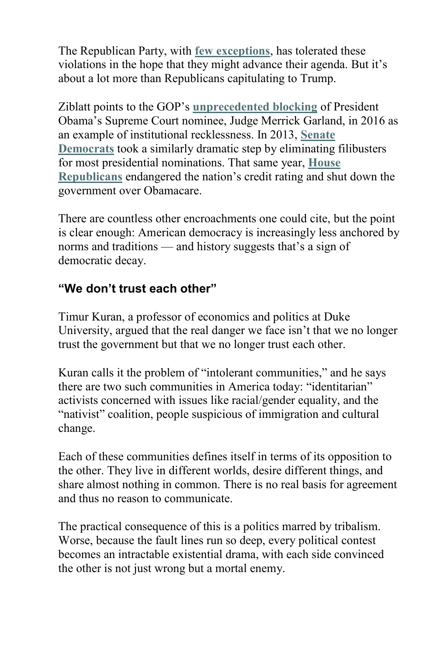The Republican Party, with **[few exceptions](https://www.bloomberg.com/view/articles/2017-08-08/actually-republicans-are-standing-up-to-trump)**, has tolerated these violations in the hope that they might advance their agenda. But it's about a lot more than Republicans capitulating to Trump.

Ziblatt points to the GOP's **[unprecedented blocking](https://www.nytimes.com/2016/06/14/us/politics/obama-supreme-court-merrick-garland.html?_r=0)** of President Obama's Supreme Court nominee, Judge Merrick Garland, in 2016 as an example of institutional recklessness. In 2013, **[Senate](https://www.washingtonpost.com/politics/senate-poised-to-limit-filibusters-in-party-line-vote-that-would-alter-centuries-of-precedent/2013/11/21/d065cfe8-52b6-11e3-9fe0-fd2ca728e67c_story.html?utm_term=.b9d62ce81a89)  [Democrats](https://www.washingtonpost.com/politics/senate-poised-to-limit-filibusters-in-party-line-vote-that-would-alter-centuries-of-precedent/2013/11/21/d065cfe8-52b6-11e3-9fe0-fd2ca728e67c_story.html?utm_term=.b9d62ce81a89)** took a similarly dramatic step by eliminating filibusters for most presidential nominations. That same year, **[House](https://www.theatlantic.com/politics/archive/2013/10/32-republicans-who-caused-the-government-shutdown/280236/)  [Republicans](https://www.theatlantic.com/politics/archive/2013/10/32-republicans-who-caused-the-government-shutdown/280236/)** endangered the nation's credit rating and shut down the government over Obamacare.

There are countless other encroachments one could cite, but the point is clear enough: American democracy is increasingly less anchored by norms and traditions — and history suggests that's a sign of democratic decay.

#### **"We don't trust each other"**

Timur Kuran, a professor of economics and politics at Duke University, argued that the real danger we face isn't that we no longer trust the government but that we no longer trust each other.

Kuran calls it the problem of "intolerant communities," and he says there are two such communities in America today: "identitarian" activists concerned with issues like racial/gender equality, and the "nativist" coalition, people suspicious of immigration and cultural change.

Each of these communities defines itself in terms of its opposition to the other. They live in different worlds, desire different things, and share almost nothing in common. There is no real basis for agreement and thus no reason to communicate.

The practical consequence of this is a politics marred by tribalism. Worse, because the fault lines run so deep, every political contest becomes an intractable existential drama, with each side convinced the other is not just wrong but a mortal enemy.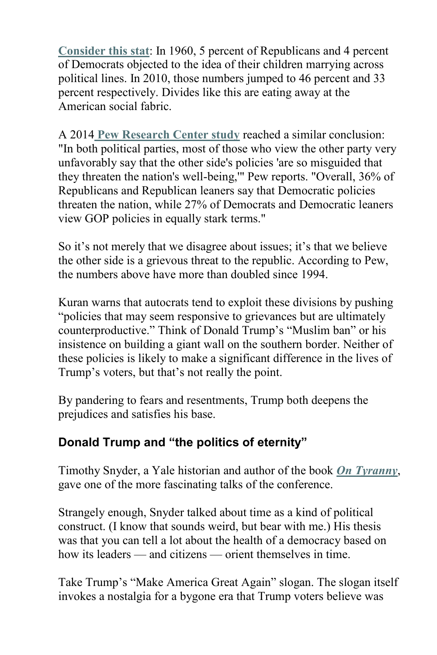**[Consider this stat](https://yale.app.box.com/s/43a84dgfk7i6jyo0w1ndnb7plag5s360/file/230928318435)**: In 1960, 5 percent of Republicans and 4 percent of Democrats objected to the idea of their children marrying across political lines. In 2010, those numbers jumped to 46 percent and 33 percent respectively. Divides like this are eating away at the American social fabric.

A 2014 **[Pew Research Center study](http://www.people-press.org/2014/06/12/political-polarization-in-the-american-public/)** reached a similar conclusion: "In both political parties, most of those who view the other party very unfavorably say that the other side's policies 'are so misguided that they threaten the nation's well-being,'" Pew reports. "Overall, 36% of Republicans and Republican leaners say that Democratic policies threaten the nation, while 27% of Democrats and Democratic leaners view GOP policies in equally stark terms."

So it's not merely that we disagree about issues; it's that we believe the other side is a grievous threat to the republic. According to Pew, the numbers above have more than doubled since 1994.

Kuran warns that autocrats tend to exploit these divisions by pushing "policies that may seem responsive to grievances but are ultimately counterproductive." Think of Donald Trump's "Muslim ban" or his insistence on building a giant wall on the southern border. Neither of these policies is likely to make a significant difference in the lives of Trump's voters, but that's not really the point.

By pandering to fears and resentments, Trump both deepens the prejudices and satisfies his base.

## **Donald Trump and "the politics of eternity"**

Timothy Snyder, a Yale historian and author of the book *[On Tyranny](https://go.redirectingat.com/?id=66960X1516588&xs=1&url=https%3A%2F%2Fwww.amazon.com%2FTyranny-Twenty-Lessons-Twentieth-Century%2Fdp%2F0804190119)*, gave one of the more fascinating talks of the conference.

Strangely enough, Snyder talked about time as a kind of political construct. (I know that sounds weird, but bear with me.) His thesis was that you can tell a lot about the health of a democracy based on how its leaders — and citizens — orient themselves in time.

Take Trump's "Make America Great Again" slogan. The slogan itself invokes a nostalgia for a bygone era that Trump voters believe was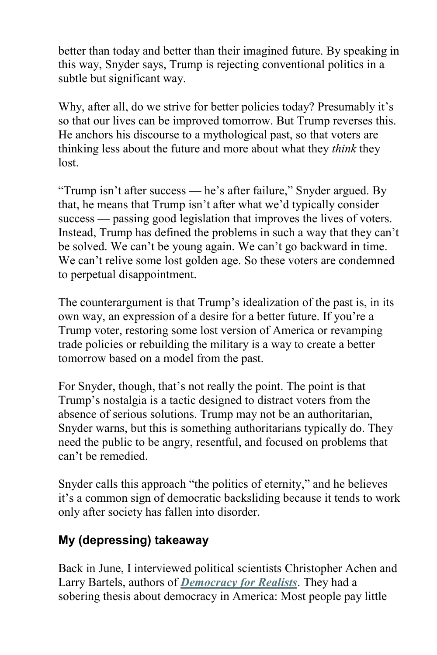better than today and better than their imagined future. By speaking in this way, Snyder says, Trump is rejecting conventional politics in a subtle but significant way.

Why, after all, do we strive for better policies today? Presumably it's so that our lives can be improved tomorrow. But Trump reverses this. He anchors his discourse to a mythological past, so that voters are thinking less about the future and more about what they *think* they lost.

"Trump isn't after success — he's after failure," Snyder argued. By that, he means that Trump isn't after what we'd typically consider success — passing good legislation that improves the lives of voters. Instead, Trump has defined the problems in such a way that they can't be solved. We can't be young again. We can't go backward in time. We can't relive some lost golden age. So these voters are condemned to perpetual disappointment.

The counterargument is that Trump's idealization of the past is, in its own way, an expression of a desire for a better future. If you're a Trump voter, restoring some lost version of America or revamping trade policies or rebuilding the military is a way to create a better tomorrow based on a model from the past.

For Snyder, though, that's not really the point. The point is that Trump's nostalgia is a tactic designed to distract voters from the absence of serious solutions. Trump may not be an authoritarian, Snyder warns, but this is something authoritarians typically do. They need the public to be angry, resentful, and focused on problems that can't be remedied.

Snyder calls this approach "the politics of eternity," and he believes it's a common sign of democratic backsliding because it tends to work only after society has fallen into disorder.

## **My (depressing) takeaway**

Back in June, I interviewed political scientists Christopher Achen and Larry Bartels, authors of *[Democracy for Realists](https://go.redirectingat.com/?id=66960X1516588&xs=1&url=https%3A%2F%2Fwww.amazon.com%2FDemocracy-Realists-Elections-Responsive-Government%2Fdp%2F0691169446)*. They had a sobering thesis about democracy in America: Most people pay little